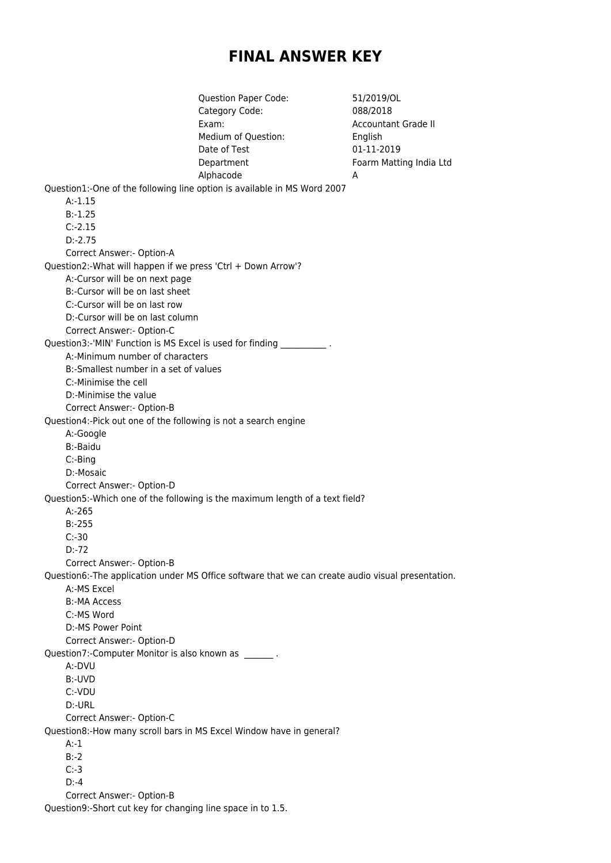## **FINAL ANSWER KEY**

Question Paper Code: 51/2019/OL Category Code: 088/2018 Exam: Cample and Countant Grade II Medium of Question: English Date of Test 01-11-2019 Department Foarm Matting India Ltd Alphacode A Question1:-One of the following line option is available in MS Word 2007 A:-1.15 B:-1.25 C:-2.15 D:-2.75 Correct Answer:- Option-A Question2:-What will happen if we press 'Ctrl + Down Arrow'? A:-Cursor will be on next page B:-Cursor will be on last sheet C:-Cursor will be on last row D:-Cursor will be on last column Correct Answer:- Option-C Question3:-'MIN' Function is MS Excel is used for finding A:-Minimum number of characters B:-Smallest number in a set of values C:-Minimise the cell D:-Minimise the value Correct Answer:- Option-B Question4:-Pick out one of the following is not a search engine A:-Google B:-Baidu C:-Bing D:-Mosaic Correct Answer:- Option-D Question5:-Which one of the following is the maximum length of a text field? A:-265 B:-255 C:-30 D:-72 Correct Answer:- Option-B Question6:-The application under MS Office software that we can create audio visual presentation. A:-MS Excel B:-MA Access C:-MS Word D:-MS Power Point Correct Answer:- Option-D Question7:-Computer Monitor is also known as \_\_\_\_\_\_\_. A:-DVU B:-UVD C:-VDU D:-URL Correct Answer:- Option-C Question8:-How many scroll bars in MS Excel Window have in general? A:-1 B:-2 C:-3  $D: -4$ Correct Answer:- Option-B

Question9:-Short cut key for changing line space in to 1.5.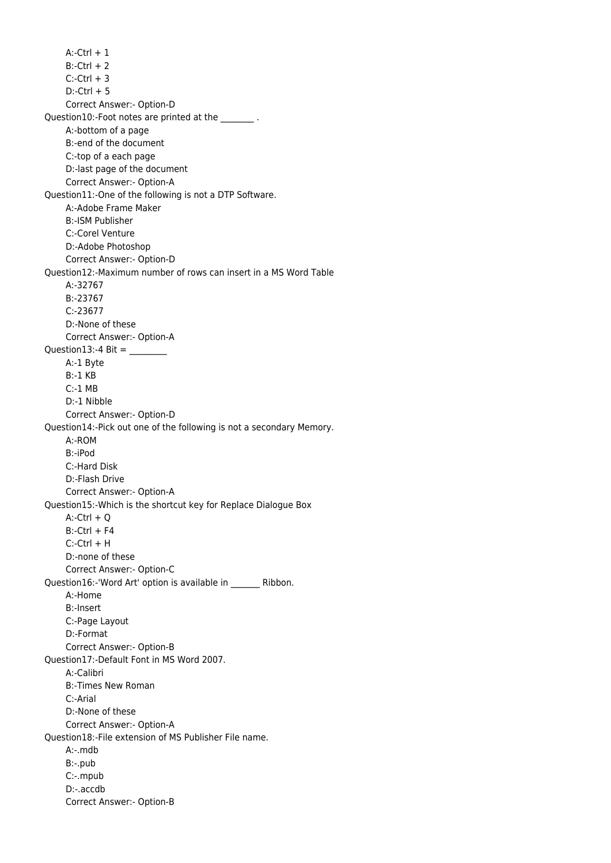$A:$ -Ctrl  $+1$  $B:-CtrI + 2$  $C$ :-Ctrl  $+3$  $D$ :-Ctrl + 5 Correct Answer:- Option-D Question10:-Foot notes are printed at the  $\qquad \qquad .$  A:-bottom of a page B:-end of the document C:-top of a each page D:-last page of the document Correct Answer:- Option-A Question11:-One of the following is not a DTP Software. A:-Adobe Frame Maker B:-ISM Publisher C:-Corel Venture D:-Adobe Photoshop Correct Answer:- Option-D Question12:-Maximum number of rows can insert in a MS Word Table A:-32767 B:-23767 C:-23677 D:-None of these Correct Answer:- Option-A Question13:-4 Bit =  $\frac{$  A:-1 Byte B:-1 KB C:-1 MB D:-1 Nibble Correct Answer:- Option-D Question14:-Pick out one of the following is not a secondary Memory. A:-ROM B:-iPod C:-Hard Disk D:-Flash Drive Correct Answer:- Option-A Question15:-Which is the shortcut key for Replace Dialogue Box  $A$ :-Ctrl + Q  $B:-CtrI + F4$  C:-Ctrl + H D:-none of these Correct Answer:- Option-C Question16:-'Word Art' option is available in \_\_\_\_\_\_\_ Ribbon. A:-Home B:-Insert C:-Page Layout D:-Format Correct Answer:- Option-B Question17:-Default Font in MS Word 2007. A:-Calibri B:-Times New Roman C:-Arial D:-None of these Correct Answer:- Option-A Question18:-File extension of MS Publisher File name. A:-.mdb B:-.pub C:-.mpub D:-.accdb Correct Answer:- Option-B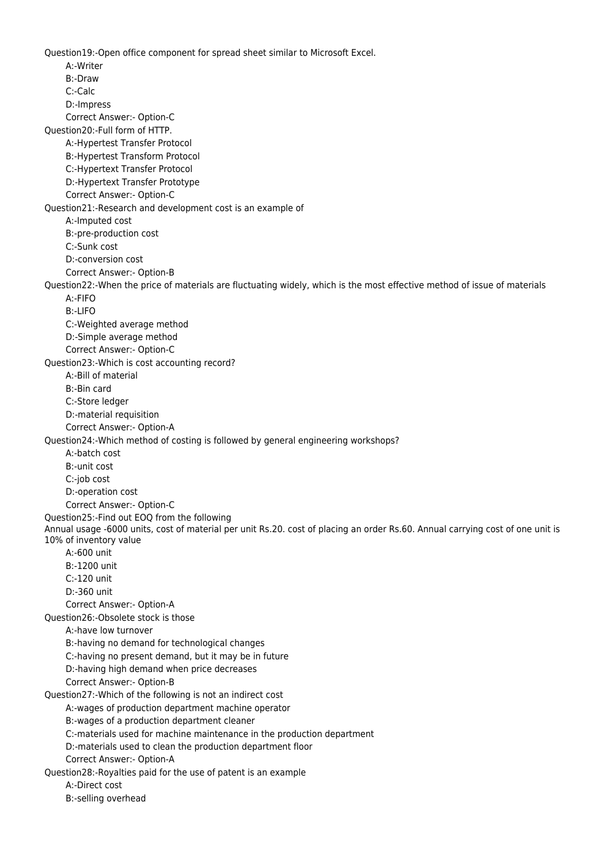Question19:-Open office component for spread sheet similar to Microsoft Excel. A:-Writer B:-Draw C:-Calc D:-Impress Correct Answer:- Option-C Question20:-Full form of HTTP. A:-Hypertest Transfer Protocol B:-Hypertest Transform Protocol C:-Hypertext Transfer Protocol D:-Hypertext Transfer Prototype Correct Answer:- Option-C Question21:-Research and development cost is an example of A:-Imputed cost B:-pre-production cost C:-Sunk cost D:-conversion cost Correct Answer:- Option-B Question22:-When the price of materials are fluctuating widely, which is the most effective method of issue of materials A:-FIFO B:-LIFO C:-Weighted average method D:-Simple average method Correct Answer:- Option-C Question23:-Which is cost accounting record? A:-Bill of material B:-Bin card C:-Store ledger D:-material requisition Correct Answer:- Option-A Question24:-Which method of costing is followed by general engineering workshops? A:-batch cost B:-unit cost C:-job cost D:-operation cost Correct Answer:- Option-C Question25:-Find out EOQ from the following Annual usage -6000 units, cost of material per unit Rs.20. cost of placing an order Rs.60. Annual carrying cost of one unit is 10% of inventory value A:-600 unit B:-1200 unit C:-120 unit D:-360 unit Correct Answer:- Option-A Question26:-Obsolete stock is those A:-have low turnover B:-having no demand for technological changes C:-having no present demand, but it may be in future D:-having high demand when price decreases Correct Answer:- Option-B Question27:-Which of the following is not an indirect cost A:-wages of production department machine operator B:-wages of a production department cleaner C:-materials used for machine maintenance in the production department D:-materials used to clean the production department floor Correct Answer:- Option-A Question28:-Royalties paid for the use of patent is an example A:-Direct cost B:-selling overhead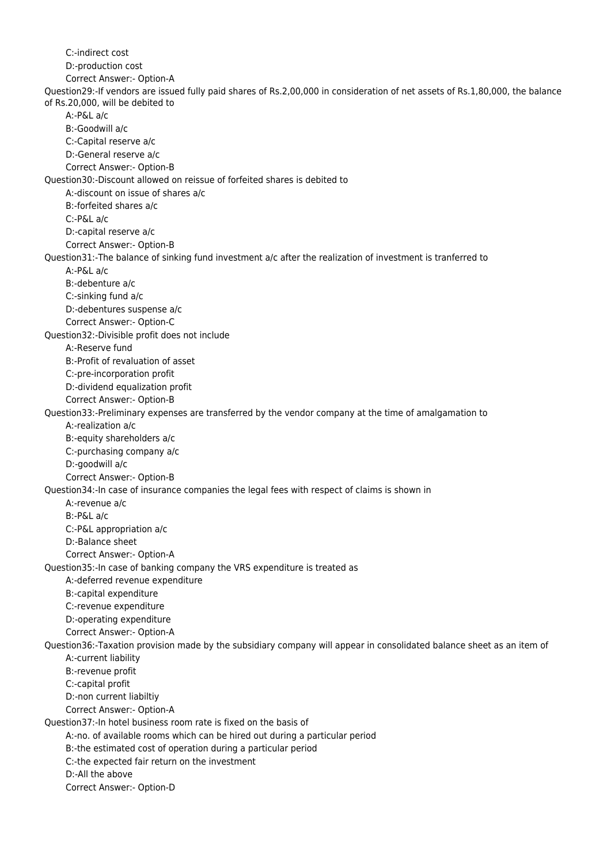C:-indirect cost D:-production cost Correct Answer:- Option-A Question29:-If vendors are issued fully paid shares of Rs.2,00,000 in consideration of net assets of Rs.1,80,000, the balance of Rs.20,000, will be debited to A:-P&L a/c B:-Goodwill a/c C:-Capital reserve a/c D:-General reserve a/c Correct Answer:- Option-B Question30:-Discount allowed on reissue of forfeited shares is debited to A:-discount on issue of shares a/c B:-forfeited shares a/c C:-P&L a/c D:-capital reserve a/c Correct Answer:- Option-B Question31:-The balance of sinking fund investment a/c after the realization of investment is tranferred to A:-P&L a/c B:-debenture a/c C:-sinking fund a/c D:-debentures suspense a/c Correct Answer:- Option-C Question32:-Divisible profit does not include A:-Reserve fund B:-Profit of revaluation of asset C:-pre-incorporation profit D:-dividend equalization profit Correct Answer:- Option-B Question33:-Preliminary expenses are transferred by the vendor company at the time of amalgamation to A:-realization a/c B:-equity shareholders a/c C:-purchasing company a/c D:-goodwill a/c Correct Answer:- Option-B Question34:-In case of insurance companies the legal fees with respect of claims is shown in A:-revenue a/c B:-P&L a/c C:-P&L appropriation a/c D:-Balance sheet Correct Answer:- Option-A Question35:-In case of banking company the VRS expenditure is treated as A:-deferred revenue expenditure B:-capital expenditure C:-revenue expenditure D:-operating expenditure Correct Answer:- Option-A Question36:-Taxation provision made by the subsidiary company will appear in consolidated balance sheet as an item of A:-current liability B:-revenue profit C:-capital profit D:-non current liabiltiy Correct Answer:- Option-A Question37:-In hotel business room rate is fixed on the basis of A:-no. of available rooms which can be hired out during a particular period B:-the estimated cost of operation during a particular period C:-the expected fair return on the investment D:-All the above Correct Answer:- Option-D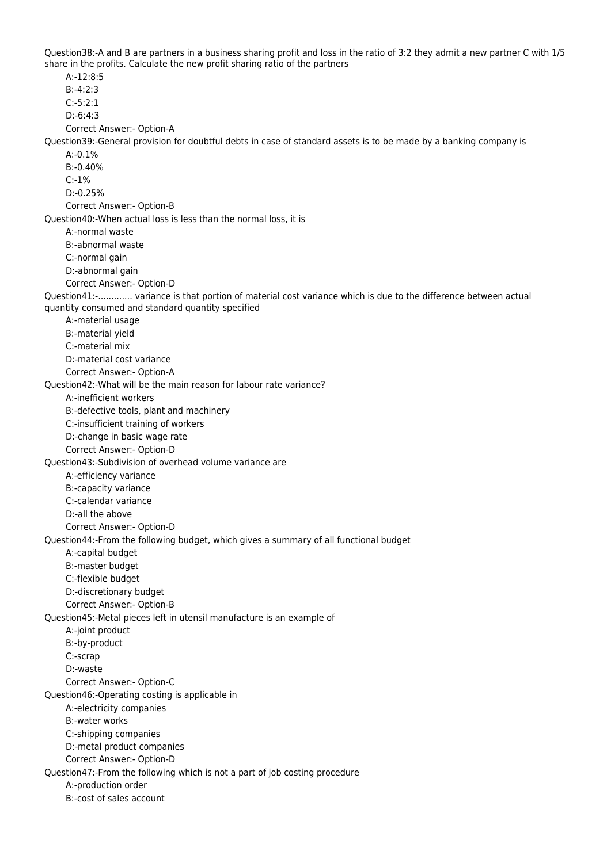Question38:-A and B are partners in a business sharing profit and loss in the ratio of 3:2 they admit a new partner C with 1/5 share in the profits. Calculate the new profit sharing ratio of the partners

 A:-12:8:5 B:-4:2:3 C:-5:2:1 D:-6:4:3 Correct Answer:- Option-A Question39:-General provision for doubtful debts in case of standard assets is to be made by a banking company is  $A - 0.1%$  B:-0.40% C:-1% D:-0.25% Correct Answer:- Option-B Question40:-When actual loss is less than the normal loss, it is A:-normal waste B:-abnormal waste C:-normal gain D:-abnormal gain Correct Answer:- Option-D Question41:-............. variance is that portion of material cost variance which is due to the difference between actual quantity consumed and standard quantity specified A:-material usage B:-material yield C:-material mix D:-material cost variance Correct Answer:- Option-A Question42:-What will be the main reason for labour rate variance? A:-inefficient workers B:-defective tools, plant and machinery C:-insufficient training of workers D:-change in basic wage rate Correct Answer:- Option-D Question43:-Subdivision of overhead volume variance are A:-efficiency variance B:-capacity variance C:-calendar variance D:-all the above Correct Answer:- Option-D Question44:-From the following budget, which gives a summary of all functional budget A:-capital budget B:-master budget C:-flexible budget D:-discretionary budget Correct Answer:- Option-B Question45:-Metal pieces left in utensil manufacture is an example of A:-joint product B:-by-product C:-scrap D:-waste Correct Answer:- Option-C Question46:-Operating costing is applicable in A:-electricity companies B:-water works C:-shipping companies D:-metal product companies Correct Answer:- Option-D Question47:-From the following which is not a part of job costing procedure A:-production order B:-cost of sales account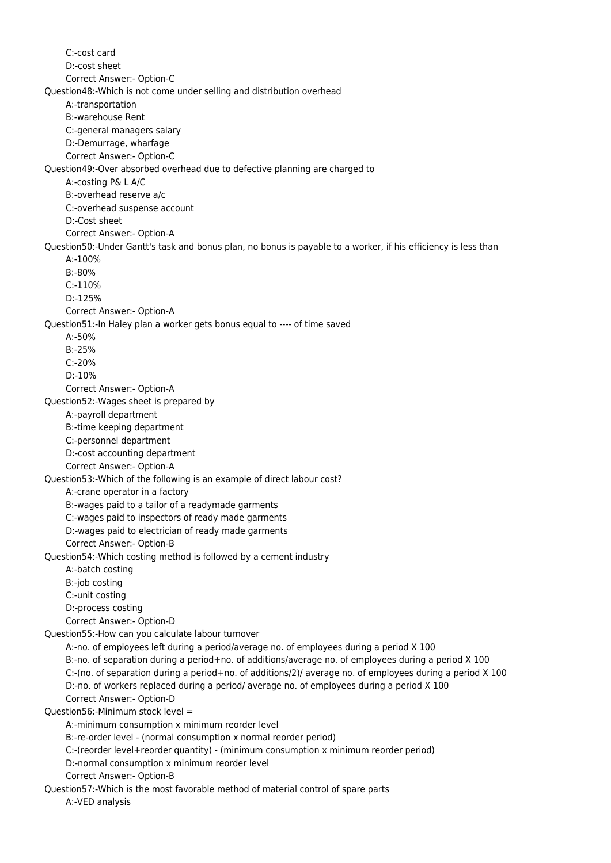C:-cost card D:-cost sheet Correct Answer:- Option-C Question48:-Which is not come under selling and distribution overhead A:-transportation B:-warehouse Rent C:-general managers salary D:-Demurrage, wharfage Correct Answer:- Option-C Question49:-Over absorbed overhead due to defective planning are charged to A:-costing P& L A/C B:-overhead reserve a/c C:-overhead suspense account D:-Cost sheet Correct Answer:- Option-A Question50:-Under Gantt's task and bonus plan, no bonus is payable to a worker, if his efficiency is less than A:-100% B:-80% C:-110% D:-125% Correct Answer:- Option-A Question51:-In Haley plan a worker gets bonus equal to ---- of time saved A:-50% B:-25% C:-20% D:-10% Correct Answer:- Option-A Question52:-Wages sheet is prepared by A:-payroll department B:-time keeping department C:-personnel department D:-cost accounting department Correct Answer:- Option-A Question53:-Which of the following is an example of direct labour cost? A:-crane operator in a factory B:-wages paid to a tailor of a readymade garments C:-wages paid to inspectors of ready made garments D:-wages paid to electrician of ready made garments Correct Answer:- Option-B Question54:-Which costing method is followed by a cement industry A:-batch costing B:-job costing C:-unit costing D:-process costing Correct Answer:- Option-D Question55:-How can you calculate labour turnover A:-no. of employees left during a period/average no. of employees during a period X 100 B:-no. of separation during a period+no. of additions/average no. of employees during a period X 100 C:-(no. of separation during a period+no. of additions/2)/ average no. of employees during a period X 100 D:-no. of workers replaced during a period/ average no. of employees during a period X 100 Correct Answer:- Option-D Question56:-Minimum stock level = A:-minimum consumption x minimum reorder level B:-re-order level - (normal consumption x normal reorder period) C:-(reorder level+reorder quantity) - (minimum consumption x minimum reorder period) D:-normal consumption x minimum reorder level Correct Answer:- Option-B Question57:-Which is the most favorable method of material control of spare parts A:-VED analysis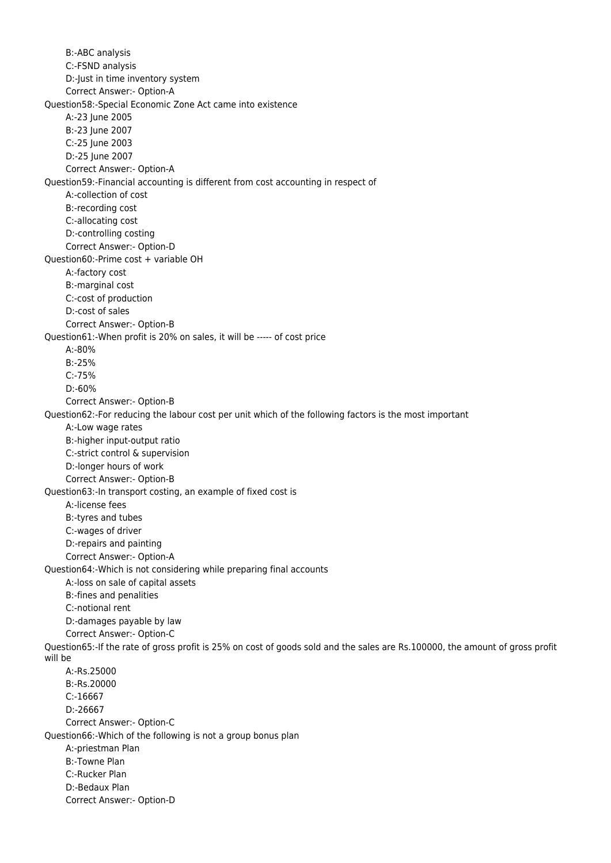B:-ABC analysis C:-FSND analysis D:-Just in time inventory system Correct Answer:- Option-A Question58:-Special Economic Zone Act came into existence A:-23 June 2005 B:-23 June 2007 C:-25 June 2003 D:-25 June 2007 Correct Answer:- Option-A Question59:-Financial accounting is different from cost accounting in respect of A:-collection of cost B:-recording cost C:-allocating cost D:-controlling costing Correct Answer:- Option-D Question60:-Prime cost + variable OH A:-factory cost B:-marginal cost C:-cost of production D:-cost of sales Correct Answer:- Option-B Question61:-When profit is 20% on sales, it will be ----- of cost price A:-80% B:-25% C:-75% D:-60% Correct Answer:- Option-B Question62:-For reducing the labour cost per unit which of the following factors is the most important A:-Low wage rates B:-higher input-output ratio C:-strict control & supervision D:-longer hours of work Correct Answer:- Option-B Question63:-In transport costing, an example of fixed cost is A:-license fees B:-tyres and tubes C:-wages of driver D:-repairs and painting Correct Answer:- Option-A Question64:-Which is not considering while preparing final accounts A:-loss on sale of capital assets B:-fines and penalities C:-notional rent D:-damages payable by law Correct Answer:- Option-C Question65:-If the rate of gross profit is 25% on cost of goods sold and the sales are Rs.100000, the amount of gross profit will be A:-Rs.25000 B:-Rs.20000 C:-16667 D:-26667 Correct Answer:- Option-C Question66:-Which of the following is not a group bonus plan A:-priestman Plan B:-Towne Plan C:-Rucker Plan D:-Bedaux Plan Correct Answer:- Option-D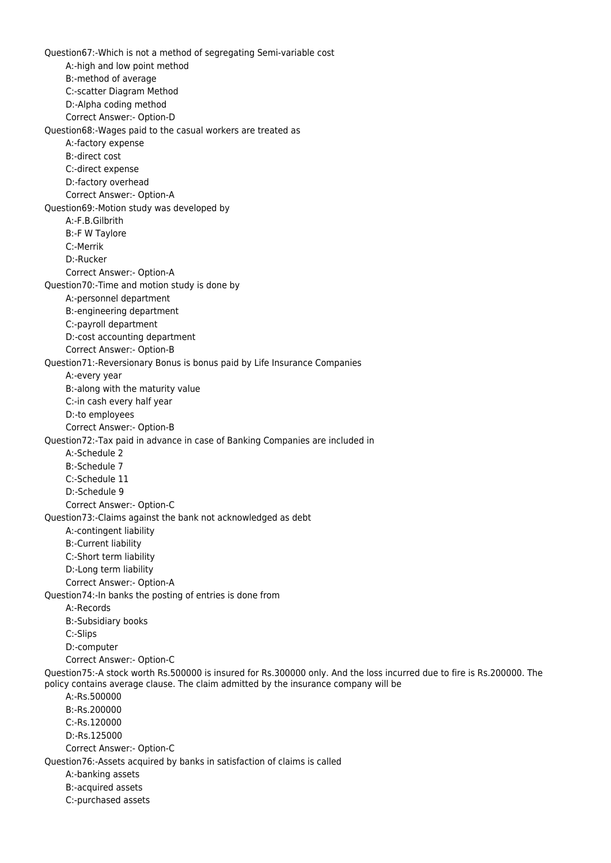Question67:-Which is not a method of segregating Semi-variable cost A:-high and low point method B:-method of average C:-scatter Diagram Method D:-Alpha coding method Correct Answer:- Option-D Question68:-Wages paid to the casual workers are treated as A:-factory expense B:-direct cost C:-direct expense D:-factory overhead Correct Answer:- Option-A Question69:-Motion study was developed by A:-F.B.Gilbrith B:-F W Taylore C:-Merrik D:-Rucker Correct Answer:- Option-A Question70:-Time and motion study is done by A:-personnel department B:-engineering department C:-payroll department D:-cost accounting department Correct Answer:- Option-B Question71:-Reversionary Bonus is bonus paid by Life Insurance Companies A:-every year B:-along with the maturity value C:-in cash every half year D:-to employees Correct Answer:- Option-B Question72:-Tax paid in advance in case of Banking Companies are included in A:-Schedule 2 B:-Schedule 7 C:-Schedule 11 D:-Schedule 9 Correct Answer:- Option-C Question73:-Claims against the bank not acknowledged as debt A:-contingent liability B:-Current liability C:-Short term liability D:-Long term liability Correct Answer:- Option-A Question74:-In banks the posting of entries is done from A:-Records B:-Subsidiary books C:-Slips D:-computer Correct Answer:- Option-C Question75:-A stock worth Rs.500000 is insured for Rs.300000 only. And the loss incurred due to fire is Rs.200000. The policy contains average clause. The claim admitted by the insurance company will be A:-Rs.500000 B:-Rs.200000 C:-Rs.120000 D:-Rs.125000 Correct Answer:- Option-C Question76:-Assets acquired by banks in satisfaction of claims is called A:-banking assets B:-acquired assets C:-purchased assets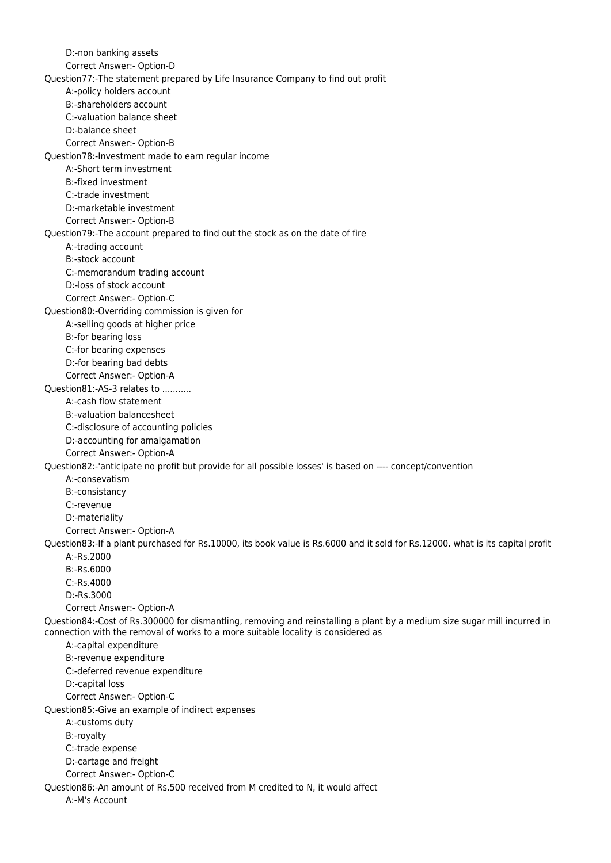D:-non banking assets Correct Answer:- Option-D Question77:-The statement prepared by Life Insurance Company to find out profit A:-policy holders account B:-shareholders account C:-valuation balance sheet D:-balance sheet Correct Answer:- Option-B Question78:-Investment made to earn regular income A:-Short term investment B:-fixed investment C:-trade investment D:-marketable investment Correct Answer:- Option-B Question79:-The account prepared to find out the stock as on the date of fire A:-trading account B:-stock account C:-memorandum trading account D:-loss of stock account Correct Answer:- Option-C Question80:-Overriding commission is given for A:-selling goods at higher price B:-for bearing loss C:-for bearing expenses D:-for bearing bad debts Correct Answer:- Option-A Question81:-AS-3 relates to ........... A:-cash flow statement B:-valuation balancesheet C:-disclosure of accounting policies D:-accounting for amalgamation Correct Answer:- Option-A Question82:-'anticipate no profit but provide for all possible losses' is based on ---- concept/convention A:-consevatism B:-consistancy C:-revenue D:-materiality Correct Answer:- Option-A Question83:-If a plant purchased for Rs.10000, its book value is Rs.6000 and it sold for Rs.12000. what is its capital profit A:-Rs.2000 B:-Rs.6000 C:-Rs.4000 D:-Rs.3000 Correct Answer:- Option-A Question84:-Cost of Rs.300000 for dismantling, removing and reinstalling a plant by a medium size sugar mill incurred in connection with the removal of works to a more suitable locality is considered as A:-capital expenditure B:-revenue expenditure C:-deferred revenue expenditure D:-capital loss Correct Answer:- Option-C Question85:-Give an example of indirect expenses A:-customs duty B:-royalty C:-trade expense D:-cartage and freight Correct Answer:- Option-C Question86:-An amount of Rs.500 received from M credited to N, it would affect A:-M's Account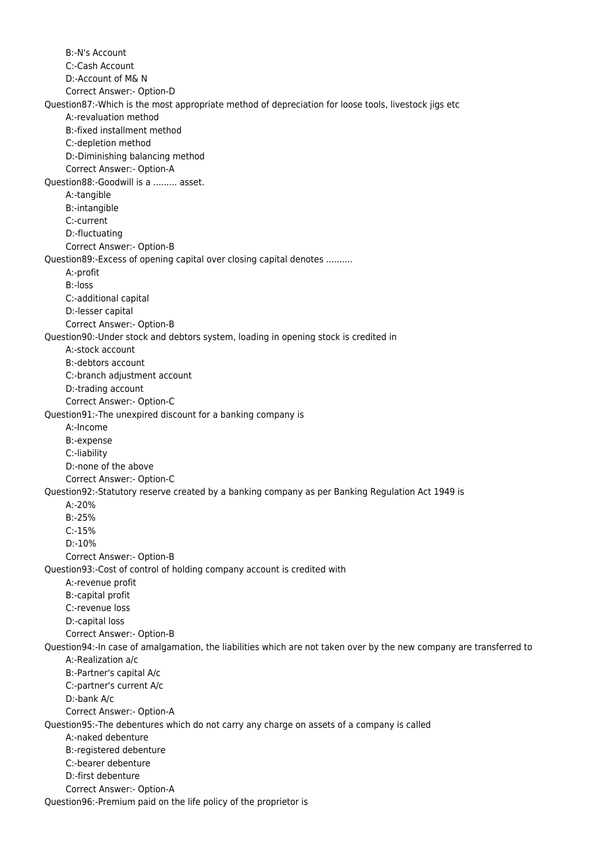B:-N's Account C:-Cash Account D:-Account of M& N Correct Answer:- Option-D Question87:-Which is the most appropriate method of depreciation for loose tools, livestock jigs etc A:-revaluation method B:-fixed installment method C:-depletion method D:-Diminishing balancing method Correct Answer:- Option-A Question88:-Goodwill is a ......... asset. A:-tangible B:-intangible C:-current D:-fluctuating Correct Answer:- Option-B Question89:-Excess of opening capital over closing capital denotes .......... A:-profit B:-loss C:-additional capital D:-lesser capital Correct Answer:- Option-B Question90:-Under stock and debtors system, loading in opening stock is credited in A:-stock account B:-debtors account C:-branch adjustment account D:-trading account Correct Answer:- Option-C Question91:-The unexpired discount for a banking company is A:-Income B:-expense C:-liability D:-none of the above Correct Answer:- Option-C Question92:-Statutory reserve created by a banking company as per Banking Regulation Act 1949 is  $A: -20%$  B:-25% C:-15% D:-10% Correct Answer:- Option-B Question93:-Cost of control of holding company account is credited with A:-revenue profit B:-capital profit C:-revenue loss D:-capital loss Correct Answer:- Option-B Question94:-In case of amalgamation, the liabilities which are not taken over by the new company are transferred to A:-Realization a/c B:-Partner's capital A/c C:-partner's current A/c D:-bank A/c Correct Answer:- Option-A Question95:-The debentures which do not carry any charge on assets of a company is called A:-naked debenture B:-registered debenture C:-bearer debenture D:-first debenture Correct Answer:- Option-A Question96:-Premium paid on the life policy of the proprietor is